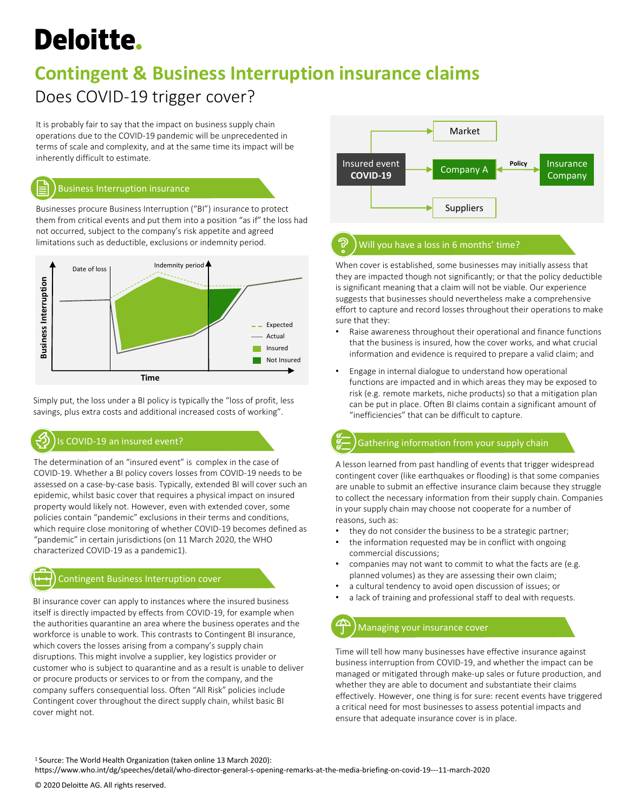# **Deloitte.**

## **Contingent & Business Interruption insurance claims**

### Does COVID-19 trigger cover?

It is probably fair to say that the impact on business supply chain operations due to the COVID-19 pandemic will be unprecedented in terms of scale and complexity, and at the same time its impact will be inherently difficult to estimate.



#### Business Interruption insurance

Businesses procure Business Interruption ("BI") insurance to protect them from critical events and put them into a position "as if" the loss had not occurred, subject to the company's risk appetite and agreed limitations such as deductible, exclusions or indemnity period.



Simply put, the loss under a BI policy is typically the "loss of profit, less savings, plus extra costs and additional increased costs of working".

#### Is COVID-19 an insured event?

The determination of an "insured event" is complex in the case of COVID-19. Whether a BI policy covers losses from COVID-19 needs to be assessed on a case-by-case basis. Typically, extended BI will cover such an epidemic, whilst basic cover that requires a physical impact on insured property would likely not. However, even with extended cover, some policies contain "pandemic" exclusions in their terms and conditions, which require close monitoring of whether COVID-19 becomes defined as "pandemic" in certain jurisdictions (on 11 March 2020, the WHO characterized COVID-19 as a pandemic1).

#### Contingent Business Interruption cover

BI insurance cover can apply to instances where the insured business itself is directly impacted by effects from COVID-19, for example when the authorities quarantine an area where the business operates and the workforce is unable to work. This contrasts to Contingent BI insurance, which covers the losses arising from a company's supply chain disruptions. This might involve a supplier, key logistics provider or customer who is subject to quarantine and as a result is unable to deliver or procure products or services to or from the company, and the company suffers consequential loss. Often "All Risk" policies include Contingent cover throughout the direct supply chain, whilst basic BI cover might not.



#### Will you have a loss in 6 months' time?

When cover is established, some businesses may initially assess that they are impacted though not significantly; or that the policy deductible is significant meaning that a claim will not be viable. Our experience suggests that businesses should nevertheless make a comprehensive effort to capture and record losses throughout their operations to make sure that they:

- Raise awareness throughout their operational and finance functions that the business is insured, how the cover works, and what crucial information and evidence is required to prepare a valid claim; and
- Engage in internal dialogue to understand how operational functions are impacted and in which areas they may be exposed to risk (e.g. remote markets, niche products) so that a mitigation plan can be put in place. Often BI claims contain a significant amount of "inefficiencies" that can be difficult to capture.

### Gathering information from your supply chain

A lesson learned from past handling of events that trigger widespread contingent cover (like earthquakes or flooding) is that some companies are unable to submit an effective insurance claim because they struggle to collect the necessary information from their supply chain. Companies in your supply chain may choose not cooperate for a number of reasons, such as:

- they do not consider the business to be a strategic partner;
- the information requested may be in conflict with ongoing commercial discussions;
- companies may not want to commit to what the facts are (e.g. planned volumes) as they are assessing their own claim;
- a cultural tendency to avoid open discussion of issues; or
- a lack of training and professional staff to deal with requests.

#### Managing your insurance cover

Time will tell how many businesses have effective insurance against business interruption from COVID-19, and whether the impact can be managed or mitigated through make-up sales or future production, and whether they are able to document and substantiate their claims effectively. However, one thing is for sure: recent events have triggered a critical need for most businesses to assess potential impacts and ensure that adequate insurance cover is in place.

<sup>1</sup>Source: The World Health Organization (taken online 13 March 2020):

https://www.who.int/dg/speeches/detail/who-director-general-s-opening-remarks-at-the-media-briefing-on-covid-19---11-march-2020